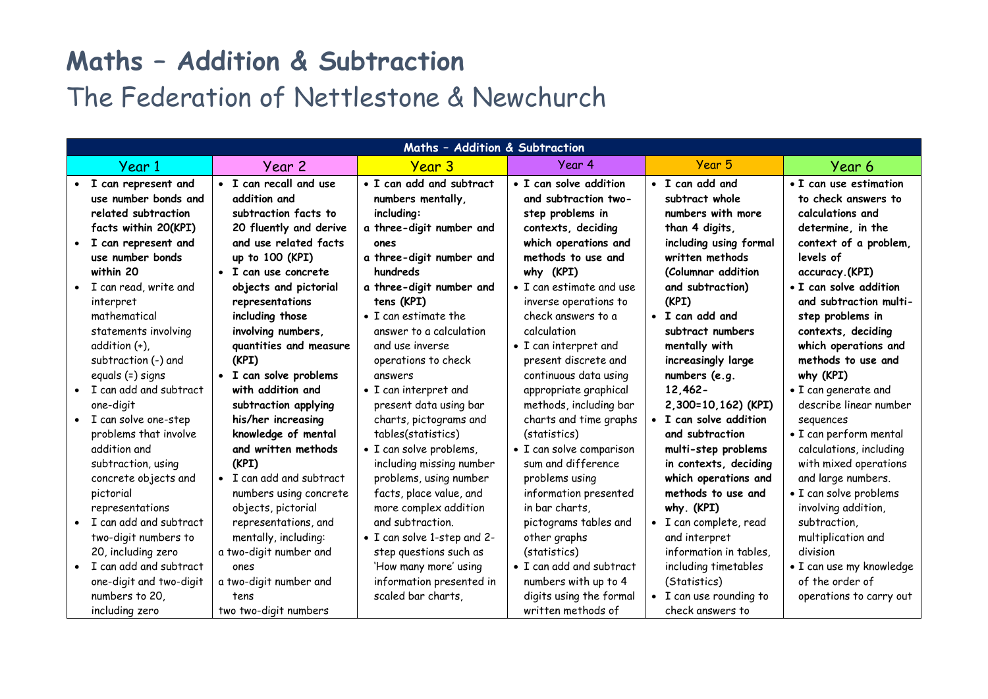## **Maths – Addition & Subtraction**

## The Federation of Nettlestone & Newchurch

| Maths - Addition & Subtraction |                         |                          |                              |                                  |                         |                          |  |  |
|--------------------------------|-------------------------|--------------------------|------------------------------|----------------------------------|-------------------------|--------------------------|--|--|
|                                | Year 1                  | Year 2                   | <b>Year 3</b>                | Year 4                           | Year 5                  | Year 6                   |  |  |
|                                | I can represent and     | • I can recall and use   | • I can add and subtract     | • I can solve addition           | • I can add and         | • I can use estimation   |  |  |
|                                | use number bonds and    | addition and             | numbers mentally,            | and subtraction two-             | subtract whole          | to check answers to      |  |  |
|                                | related subtraction     | subtraction facts to     | including:                   | step problems in                 | numbers with more       | calculations and         |  |  |
|                                | facts within 20(KPI)    | 20 fluently and derive   | a three-digit number and     | contexts, deciding               | than 4 digits,          | determine, in the        |  |  |
|                                | • I can represent and   | and use related facts    | ones                         | which operations and             | including using formal  | context of a problem,    |  |  |
|                                | use number bonds        | up to 100 (KPI)          | a three-digit number and     | methods to use and               | written methods         | levels of                |  |  |
|                                | within 20               | • I can use concrete     | hundreds                     | why (KPI)                        | (Columnar addition      | accuracy.(KPI)           |  |  |
|                                | • I can read, write and | objects and pictorial    | a three-digit number and     | $\bullet$ I can estimate and use | and subtraction)        | • I can solve addition   |  |  |
|                                | interpret               | representations          | tens (KPI)                   | inverse operations to            | (KPI)                   | and subtraction multi-   |  |  |
|                                | mathematical            | including those          | $\bullet$ I can estimate the | check answers to a               | • I can add and         | step problems in         |  |  |
|                                | statements involving    | involving numbers,       | answer to a calculation      | calculation                      | subtract numbers        | contexts, deciding       |  |  |
|                                | addition (+),           | quantities and measure   | and use inverse              | • I can interpret and            | mentally with           | which operations and     |  |  |
|                                | subtraction (-) and     | (KPI)                    | operations to check          | present discrete and             | increasingly large      | methods to use and       |  |  |
|                                | equals (=) signs        | · I can solve problems   | answers                      | continuous data using            | numbers (e.g.           | why (KPI)                |  |  |
|                                | I can add and subtract  | with addition and        | • I can interpret and        | appropriate graphical            | $12,462 -$              | • I can generate and     |  |  |
|                                | one-digit               | subtraction applying     | present data using bar       | methods, including bar           | 2,300=10,162) (KPI)     | describe linear number   |  |  |
|                                | • I can solve one-step  | his/her increasing       | charts, pictograms and       | charts and time graphs           | • I can solve addition  | sequences                |  |  |
|                                | problems that involve   | knowledge of mental      | tables(statistics)           | (statistics)                     | and subtraction         | · I can perform mental   |  |  |
|                                | addition and            | and written methods      | · I can solve problems,      | • I can solve comparison         | multi-step problems     | calculations, including  |  |  |
|                                | subtraction, using      | (KPI)                    | including missing number     | sum and difference               | in contexts, deciding   | with mixed operations    |  |  |
|                                | concrete objects and    | • I can add and subtract | problems, using number       | problems using                   | which operations and    | and large numbers.       |  |  |
|                                | pictorial               | numbers using concrete   | facts, place value, and      | information presented            | methods to use and      | • I can solve problems   |  |  |
|                                | representations         | objects, pictorial       | more complex addition        | in bar charts,                   | why. (KPI)              | involving addition,      |  |  |
|                                | I can add and subtract  | representations, and     | and subtraction.             | pictograms tables and            | · I can complete, read  | subtraction.             |  |  |
|                                | two-digit numbers to    | mentally, including:     | • I can solve 1-step and 2-  | other graphs                     | and interpret           | multiplication and       |  |  |
|                                | 20, including zero      | a two-digit number and   | step questions such as       | (statistics)                     | information in tables,  | division                 |  |  |
|                                | I can add and subtract  | ones                     | 'How many more' using        | • I can add and subtract         | including timetables    | • I can use my knowledge |  |  |
|                                | one-digit and two-digit | a two-digit number and   | information presented in     | numbers with up to 4             | (Statistics)            | of the order of          |  |  |
|                                | numbers to 20,          | tens                     | scaled bar charts,           | digits using the formal          | • I can use rounding to | operations to carry out  |  |  |
|                                | including zero          | two two-digit numbers    |                              | written methods of               | check answers to        |                          |  |  |